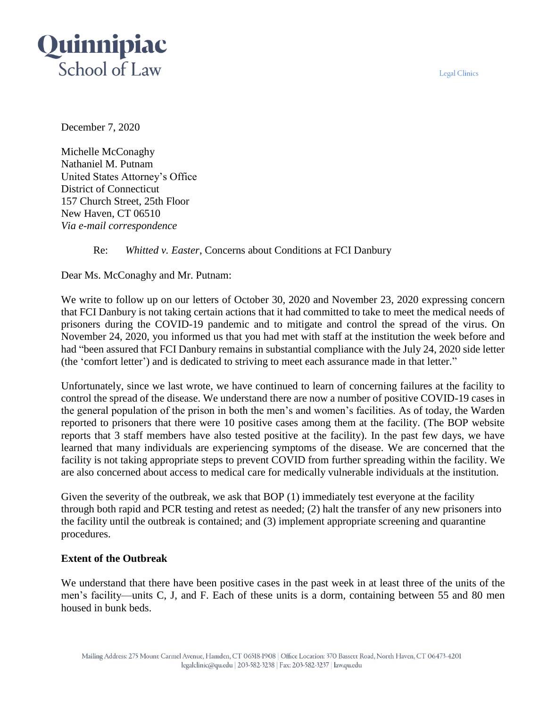**Legal Clinics** 



December 7, 2020

Michelle McConaghy Nathaniel M. Putnam United States Attorney's Office District of Connecticut 157 Church Street, 25th Floor New Haven, CT 06510 *Via e-mail correspondence*

# Re: *Whitted v. Easter*, Concerns about Conditions at FCI Danbury

Dear Ms. McConaghy and Mr. Putnam:

We write to follow up on our letters of October 30, 2020 and November 23, 2020 expressing concern that FCI Danbury is not taking certain actions that it had committed to take to meet the medical needs of prisoners during the COVID-19 pandemic and to mitigate and control the spread of the virus. On November 24, 2020, you informed us that you had met with staff at the institution the week before and had "been assured that FCI Danbury remains in substantial compliance with the July 24, 2020 side letter (the 'comfort letter') and is dedicated to striving to meet each assurance made in that letter."

Unfortunately, since we last wrote, we have continued to learn of concerning failures at the facility to control the spread of the disease. We understand there are now a number of positive COVID-19 cases in the general population of the prison in both the men's and women's facilities. As of today, the Warden reported to prisoners that there were 10 positive cases among them at the facility. (The BOP website reports that 3 staff members have also tested positive at the facility). In the past few days, we have learned that many individuals are experiencing symptoms of the disease. We are concerned that the facility is not taking appropriate steps to prevent COVID from further spreading within the facility. We are also concerned about access to medical care for medically vulnerable individuals at the institution.

Given the severity of the outbreak, we ask that BOP (1) immediately test everyone at the facility through both rapid and PCR testing and retest as needed; (2) halt the transfer of any new prisoners into the facility until the outbreak is contained; and (3) implement appropriate screening and quarantine procedures.

## **Extent of the Outbreak**

We understand that there have been positive cases in the past week in at least three of the units of the men's facility—units C, J, and F. Each of these units is a dorm, containing between 55 and 80 men housed in bunk beds.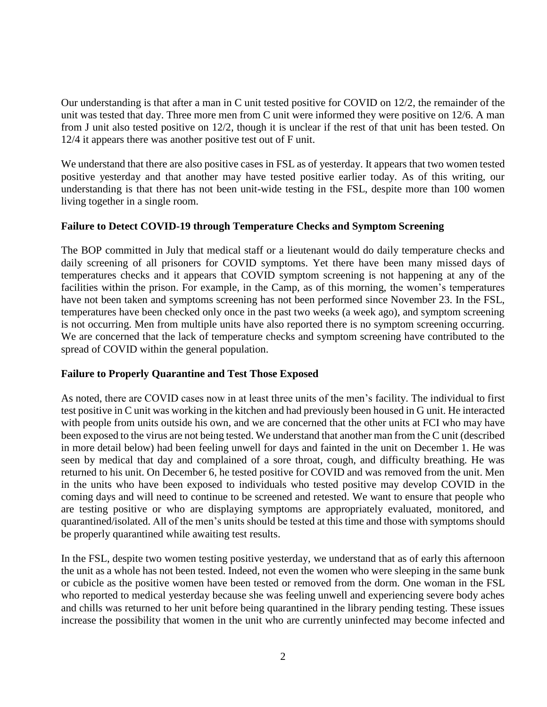Our understanding is that after a man in C unit tested positive for COVID on 12/2, the remainder of the unit was tested that day. Three more men from C unit were informed they were positive on 12/6. A man from J unit also tested positive on 12/2, though it is unclear if the rest of that unit has been tested. On 12/4 it appears there was another positive test out of F unit.

We understand that there are also positive cases in FSL as of yesterday. It appears that two women tested positive yesterday and that another may have tested positive earlier today. As of this writing, our understanding is that there has not been unit-wide testing in the FSL, despite more than 100 women living together in a single room.

### **Failure to Detect COVID-19 through Temperature Checks and Symptom Screening**

The BOP committed in July that medical staff or a lieutenant would do daily temperature checks and daily screening of all prisoners for COVID symptoms. Yet there have been many missed days of temperatures checks and it appears that COVID symptom screening is not happening at any of the facilities within the prison. For example, in the Camp, as of this morning, the women's temperatures have not been taken and symptoms screening has not been performed since November 23. In the FSL, temperatures have been checked only once in the past two weeks (a week ago), and symptom screening is not occurring. Men from multiple units have also reported there is no symptom screening occurring. We are concerned that the lack of temperature checks and symptom screening have contributed to the spread of COVID within the general population.

### **Failure to Properly Quarantine and Test Those Exposed**

As noted, there are COVID cases now in at least three units of the men's facility. The individual to first test positive in C unit was working in the kitchen and had previously been housed in G unit. He interacted with people from units outside his own, and we are concerned that the other units at FCI who may have been exposed to the virus are not being tested. We understand that another man from the C unit (described in more detail below) had been feeling unwell for days and fainted in the unit on December 1. He was seen by medical that day and complained of a sore throat, cough, and difficulty breathing. He was returned to his unit. On December 6, he tested positive for COVID and was removed from the unit. Men in the units who have been exposed to individuals who tested positive may develop COVID in the coming days and will need to continue to be screened and retested. We want to ensure that people who are testing positive or who are displaying symptoms are appropriately evaluated, monitored, and quarantined/isolated. All of the men's units should be tested at this time and those with symptoms should be properly quarantined while awaiting test results.

In the FSL, despite two women testing positive yesterday, we understand that as of early this afternoon the unit as a whole has not been tested. Indeed, not even the women who were sleeping in the same bunk or cubicle as the positive women have been tested or removed from the dorm. One woman in the FSL who reported to medical yesterday because she was feeling unwell and experiencing severe body aches and chills was returned to her unit before being quarantined in the library pending testing. These issues increase the possibility that women in the unit who are currently uninfected may become infected and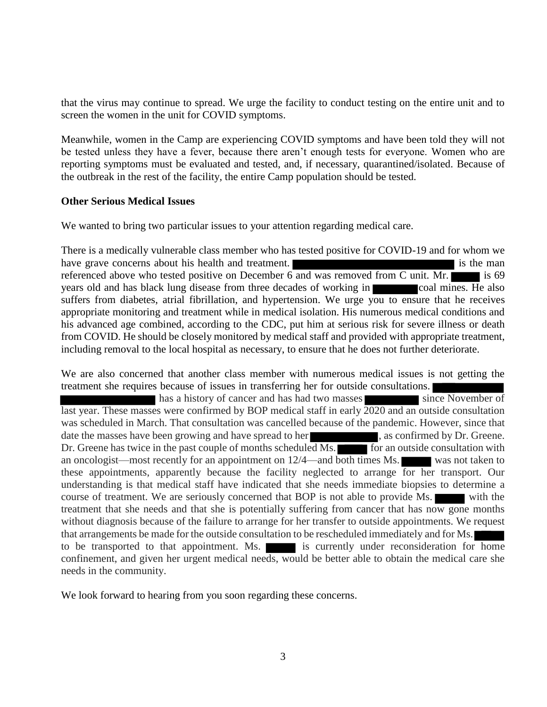that the virus may continue to spread. We urge the facility to conduct testing on the entire unit and to screen the women in the unit for COVID symptoms.

Meanwhile, women in the Camp are experiencing COVID symptoms and have been told they will not be tested unless they have a fever, because there aren't enough tests for everyone. Women who are reporting symptoms must be evaluated and tested, and, if necessary, quarantined/isolated. Because of the outbreak in the rest of the facility, the entire Camp population should be tested.

### **Other Serious Medical Issues**

We wanted to bring two particular issues to your attention regarding medical care.

There is a medically vulnerable class member who has tested positive for COVID-19 and for whom we have grave concerns about his health and treatment. referenced above who tested positive on December  $6$  and was removed from C unit. Mr. years old and has black lung disease from three decades of working in coal mines. He also suffers from diabetes, atrial fibrillation, and hypertension. We urge you to ensure that he receives appropriate monitoring and treatment while in medical isolation. His numerous medical conditions and his advanced age combined, according to the CDC, put him at serious risk for severe illness or death from COVID. He should be closely monitored by medical staff and provided with appropriate treatment, including removal to the local hospital as necessary, to ensure that he does not further deteriorate.

We are also concerned that another class member with numerous medical issues is not getting the treatment she requires because of issues in transferring her for outside consultations.

has a history of cancer and has had two masses since November of last year. These masses were confirmed by BOP medical staff in early 2020 and an outside consultation was scheduled in March. That consultation was cancelled because of the pandemic. However, since that date the masses have been growing and have spread to her , as confirmed by Dr. Greene. Dr. Greene has twice in the past couple of months scheduled Ms. for an outside consultation with an oncologist—most recently for an appointment on 12/4—and both times Ms. was not taken to these appointments, apparently because the facility neglected to arrange for her transport. Our understanding is that medical staff have indicated that she needs immediate biopsies to determine a course of treatment. We are seriously concerned that BOP is not able to provide Ms. treatment that she needs and that she is potentially suffering from cancer that has now gone months without diagnosis because of the failure to arrange for her transfer to outside appointments. We request that arrangements be made for the outside consultation to be rescheduled immediately and for Ms. to be transported to that appointment. Ms. is currently under reconsideration for home confinement, and given her urgent medical needs, would be better able to obtain the medical care she needs in the community.

We look forward to hearing from you soon regarding these concerns.